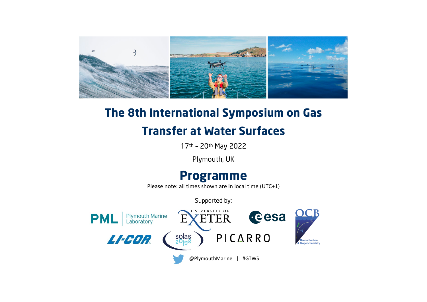

## **The 8th International Symposium on Gas**

## **Transfer at Water Surfaces**

17th – 20th May 2022

Plymouth, UK

## **Programme**

Please note: all times shown are in local time (UTC+1)

Supported by:

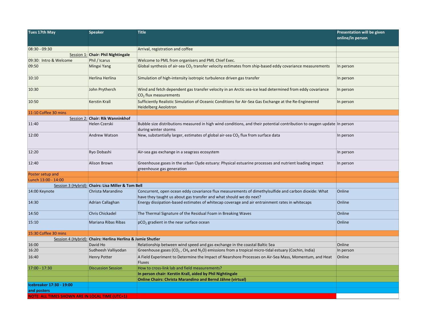| Tues 17th May                                          | <b>Speaker</b>                                     | <b>Title</b>                                                                                                                                                               | Presentation will be given |
|--------------------------------------------------------|----------------------------------------------------|----------------------------------------------------------------------------------------------------------------------------------------------------------------------------|----------------------------|
|                                                        |                                                    |                                                                                                                                                                            | online/in person           |
|                                                        |                                                    |                                                                                                                                                                            |                            |
| $08:30 - 09:30$                                        |                                                    | Arrival, registration and coffee                                                                                                                                           |                            |
|                                                        | Session 1: Chair: Phil Nightingale                 |                                                                                                                                                                            |                            |
| 09:30: Intro & Welcome                                 | Phil / Icarus                                      | Welcome to PML from organisers and PML Chief Exec.                                                                                                                         |                            |
| 09:50                                                  | Mingxi Yang                                        | Global synthesis of air-sea $CO2$ transfer velocity estimates from ship-based eddy covariance measurements                                                                 | In person                  |
| 10:10                                                  | Herlina Herlina                                    | Simulation of high-intensity isotropic turbulence driven gas transfer                                                                                                      | In person                  |
| 10:30                                                  | John Prytherch                                     | Wind and fetch dependent gas transfer velocity in an Arctic sea-ice lead determined from eddy covariance<br>$CO2$ flux measurements                                        | In person                  |
| 10:50                                                  | <b>Kerstin Krall</b>                               | Sufficiently Realistic Simulation of Oceanic Conditions for Air-Sea Gas Exchange at the Re-Engineered<br><b>Heidelberg Aeolotron</b>                                       | In person                  |
| 11:10 Coffee 30 mins                                   |                                                    |                                                                                                                                                                            |                            |
|                                                        | Session 2: Chair: Rik Wanninkhof                   |                                                                                                                                                                            |                            |
| 11:40                                                  | Helen Czerski                                      | Bubble size distributions measured in high wind conditions, and their potential contribution to oxygen update In person<br>during winter storms                            |                            |
| 12:00                                                  | Andrew Watson                                      | New, substantially larger, estimates of global air-sea $CO2$ flux from surface data                                                                                        | In person                  |
| 12:20                                                  | Ryo Dobashi                                        | Air-sea gas exchange in a seagrass ecosystem                                                                                                                               | In person                  |
| 12:40                                                  | Alison Brown                                       | Greenhouse gases in the urban Clyde estuary: Physical estuarine processes and nutrient loading impact<br>greenhouse gas generation                                         | In person                  |
| Poster setup and                                       |                                                    |                                                                                                                                                                            |                            |
| Lunch 13:00 - 14:00                                    |                                                    |                                                                                                                                                                            |                            |
|                                                        | Session 3 (Hybrid): Chairs: Lisa Miller & Tom Bell |                                                                                                                                                                            |                            |
| 14:00 Keynote                                          | Christa Marandino                                  | Concurrent, open ocean eddy covariance flux measurements of dimethylsulfide and carbon dioxide: What<br>have they taught us about gas transfer and what should we do next? | Online                     |
| 14:30                                                  | Adrian Callaghan                                   | Energy dissipation-based estimates of whitecap coverage and air entrainment rates in whitecaps                                                                             | Online                     |
| 14:50                                                  | <b>Chris Chickadel</b>                             | The Thermal Signature of the Residual Foam in Breaking Waves                                                                                                               | Online                     |
| 15:10                                                  | Mariana Ribas Ribas                                | $pCO2$ gradient in the near surface ocean                                                                                                                                  | Online                     |
| 15:30 Coffee 30 mins                                   |                                                    |                                                                                                                                                                            |                            |
| Session 4 (Hybrid):                                    | <b>Chairs: Herlina Herlina &amp; Jamie Shutler</b> |                                                                                                                                                                            |                            |
| 16:00                                                  | David Ho                                           | Relationship between wind speed and gas exchange in the coastal Baltic Sea                                                                                                 | Online                     |
| 16:20                                                  | Sudheesh Valliyodan                                | Greenhouse gases (CO <sub>2</sub> , CH <sub>4</sub> and N <sub>2</sub> O) emissions from a tropical micro-tidal estuary (Cochin, India)                                    | In person                  |
| 16:40                                                  | <b>Henry Potter</b>                                | A Field Experiment to Determine the Impact of Nearshore Processes on Air-Sea Mass, Momentum, and Heat<br><b>Fluxes</b>                                                     | Online                     |
| 17:00 - 17:30                                          | <b>Discussion Session</b>                          | How to cross-link lab and field measurements?                                                                                                                              |                            |
|                                                        |                                                    | In person chair: Kerstin Krall, aided by Phil Nightingale                                                                                                                  |                            |
|                                                        |                                                    | <b>Online Chairs: Christa Marandino and Bernd Jähne (virtual)</b>                                                                                                          |                            |
| Icebreaker 17:30 - 19:00                               |                                                    |                                                                                                                                                                            |                            |
| and posters                                            |                                                    |                                                                                                                                                                            |                            |
| <b>NOTE: ALL TIMES SHOWN ARE IN LOCAL TIME (UTC+1)</b> |                                                    |                                                                                                                                                                            |                            |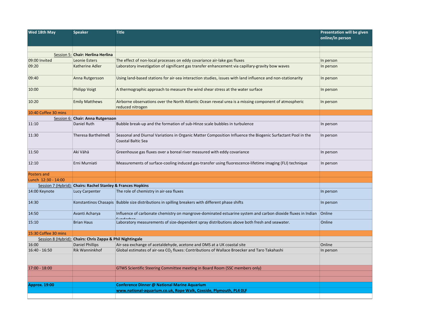| Wed 18th May         | <b>Speaker</b>                                               | <b>Title</b>                                                                                                                             | Presentation will be given<br>online/in person |
|----------------------|--------------------------------------------------------------|------------------------------------------------------------------------------------------------------------------------------------------|------------------------------------------------|
|                      |                                                              |                                                                                                                                          |                                                |
|                      | Session 5: Chair: Herlina Herlina                            |                                                                                                                                          |                                                |
| 09:00 Invited        | Leonie Esters                                                | The effect of non-local processes on eddy covariance air-lake gas fluxes                                                                 | In person                                      |
| 09:20                | Katherine Adler                                              | Laboratory investigation of significant gas transfer enhancement via capillary-gravity bow waves                                         | In person                                      |
| 09:40                | Anna Rutgersson                                              | Using land-based stations for air-sea interaction studies, issues with land influence and non-stationarity                               | In person                                      |
| 10:00                | <b>Philipp Voigt</b>                                         | A thermographic approach to measure the wind shear stress at the water surface                                                           | In person                                      |
| 10:20                | <b>Emily Matthews</b>                                        | Airborne observations over the North Atlantic Ocean reveal urea is a missing component of atmospheric<br>reduced nitrogen                | In person                                      |
| 10:40 Coffee 30 mins |                                                              |                                                                                                                                          |                                                |
|                      | Session 6: Chair: Anna Rutgersson                            |                                                                                                                                          |                                                |
| 11:10                | Daniel Ruth                                                  | Bubble break-up and the formation of sub-Hinze scale bubbles in turbulence                                                               | In person                                      |
| 11:30                | Theresa Barthelmeß                                           | Seasonal and Diurnal Variations in Organic Matter Composition Influence the Biogenic Surfactant Pool in the<br><b>Coastal Baltic Sea</b> | In person                                      |
| 11:50                | Aki Vähä                                                     | Greenhouse gas fluxes over a boreal river measured with eddy covariance                                                                  | In person                                      |
| 12:10                | Erni Murniati                                                | Measurements of surface-cooling induced gas-transfer using fluorescence-lifetime imaging (FLI) technique                                 | In person                                      |
| Posters and          |                                                              |                                                                                                                                          |                                                |
| Lunch 12:30 - 14:00  |                                                              |                                                                                                                                          |                                                |
|                      | Session 7 (Hybrid): Chairs: Rachel Stanley & Frances Hopkins |                                                                                                                                          |                                                |
| 14:00 Keynote        | <b>Lucy Carpenter</b>                                        | The role of chemistry in air-sea fluxes                                                                                                  | In person                                      |
| 14:30                |                                                              | Konstantinos Chasapis Bubble size distributions in spilling breakers with different phase shifts                                         | In person                                      |
| 14:50                | Avanti Acharya                                               | Influence of carbonate chemistry on mangrove-dominated estuarine system and carbon dioxide fluxes in Indian                              | Online                                         |
| 15:10                | <b>Brian Haus</b>                                            | Laboratory measurements of size-dependent spray distributions above both fresh and seawater.                                             | Online                                         |
| 15:30 Coffee 30 mins |                                                              |                                                                                                                                          |                                                |
|                      | Session 8 (Hybrid): Chairs: Chris Zappa & Phil Nightingale   |                                                                                                                                          |                                                |
| 16:00                | <b>Daniel Phillips</b>                                       | Air-sea exchange of acetaldehyde, acetone and DMS at a UK coastal site                                                                   | Online                                         |
| $16:40 - 16:50$      | <b>Rik Wanninkhof</b>                                        | Global estimates of air-sea CO <sub>2</sub> fluxes: Contributions of Wallace Broecker and Taro Takahashi                                 | In person                                      |
|                      |                                                              |                                                                                                                                          |                                                |
| 17:00 - 18:00        |                                                              | GTWS Scientific Steering Committee meeting in Board Room (SSC members only)                                                              |                                                |
|                      |                                                              |                                                                                                                                          |                                                |
| <b>Approx. 19:00</b> |                                                              | Conference Dinner @ National Marine Aquarium                                                                                             |                                                |
|                      |                                                              | www.national-aquarium.co.uk, Rope Walk, Coxside, Plymouth, PL4 OLF                                                                       |                                                |
|                      |                                                              |                                                                                                                                          |                                                |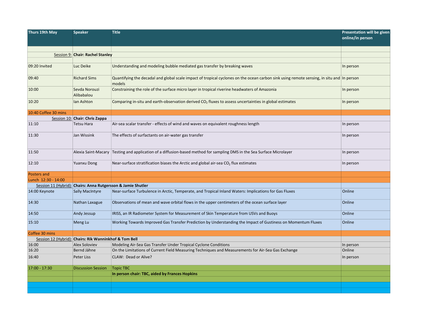| Thurs 19th May       | <b>Speaker</b>                                               | <b>Title</b>                                                                                                                                        | <b>Presentation will be given</b><br>online/in person |
|----------------------|--------------------------------------------------------------|-----------------------------------------------------------------------------------------------------------------------------------------------------|-------------------------------------------------------|
|                      | Session 9: Chair: Rachel Stanley                             |                                                                                                                                                     |                                                       |
|                      |                                                              |                                                                                                                                                     |                                                       |
| 09:20 Invited        | Luc Deike                                                    | Understanding and modeling bubble mediated gas transfer by breaking waves                                                                           | In person                                             |
| 09:40                | <b>Richard Sims</b>                                          | Quantifying the decadal and global scale impact of tropical cyclones on the ocean carbon sink using remote sensing, in situ and In person<br>models |                                                       |
| 10:00                | Sevda Norouzi<br>Alibabalou                                  | Constraining the role of the surface micro layer in tropical riverine headwaters of Amazonia                                                        | In person                                             |
| 10:20                | Ian Ashton                                                   | Comparing in-situ and earth-observation derived $CO2$ fluxes to assess uncertainties in global estimates                                            | In person                                             |
| 10:40 Coffee 30 mins |                                                              |                                                                                                                                                     |                                                       |
|                      | Session 10: Chair: Chris Zappa                               |                                                                                                                                                     |                                                       |
| 11:10                | Tetsu Hara                                                   | Air-sea scalar transfer - effects of wind and waves on equivalent roughness length                                                                  | In person                                             |
| 11:30                | Jan Wissink                                                  | The effects of surfactants on air-water gas transfer                                                                                                | In person                                             |
| 11:50                | Alexia Saint-Macary                                          | Testing and application of a diffusion-based method for sampling DMS in the Sea Surface Microlayer                                                  | In person                                             |
| 12:10                | Yuanxu Dong                                                  | Near-surface stratification biases the Arctic and global air-sea $CO2$ flux estimates                                                               | In person                                             |
| Posters and          |                                                              |                                                                                                                                                     |                                                       |
| Lunch 12:30 - 14:00  |                                                              |                                                                                                                                                     |                                                       |
|                      | Session 11 (Hybrid): Chairs: Anna Rutgersson & Jamie Shutler |                                                                                                                                                     |                                                       |
| 14:00 Keynote        | <b>Sally MacIntyre</b>                                       | Near-surface Turbulence in Arctic, Temperate, and Tropical Inland Waters: Implications for Gas Fluxes                                               | Online                                                |
| 14:30                | Nathan Laxague                                               | Observations of mean and wave orbital flows in the upper centimeters of the ocean surface layer                                                     | Online                                                |
| 14:50                | <b>Andy Jessup</b>                                           | IRISS, an IR Radiometer System for Measurement of Skin Temperature from USVs and Buoys                                                              | Online                                                |
| 15:10                | Meng Lu                                                      | Working Towards Improved Gas Transfer Prediction by Understanding the Impact of Gustiness on Momentum Fluxes                                        | Online                                                |
| Coffee 30 mins       |                                                              |                                                                                                                                                     |                                                       |
|                      | Session 12 (Hybrid): Chairs: Rik Wanninkhof & Tom Bell       |                                                                                                                                                     |                                                       |
| 16:00                | <b>Alex Soloviev</b>                                         | Modeling Air-Sea Gas Transfer Under Tropical Cyclone Conditions                                                                                     | In person                                             |
| 16:20                | Bernd Jähne                                                  | On the Limitations of Current Field Measuring Techniques and Measurements for Air-Sea Gas Exchange                                                  | Online                                                |
| 16:40                | Peter Liss                                                   | CLAW: Dead or Alive?                                                                                                                                | In person                                             |
| 17:00 - 17:30        | <b>Discussion Session</b>                                    | <b>Topic TBC</b>                                                                                                                                    |                                                       |
|                      |                                                              | In person chair: TBC, aided by Frances Hopkins                                                                                                      |                                                       |
|                      |                                                              |                                                                                                                                                     |                                                       |
|                      |                                                              |                                                                                                                                                     |                                                       |
|                      |                                                              |                                                                                                                                                     |                                                       |